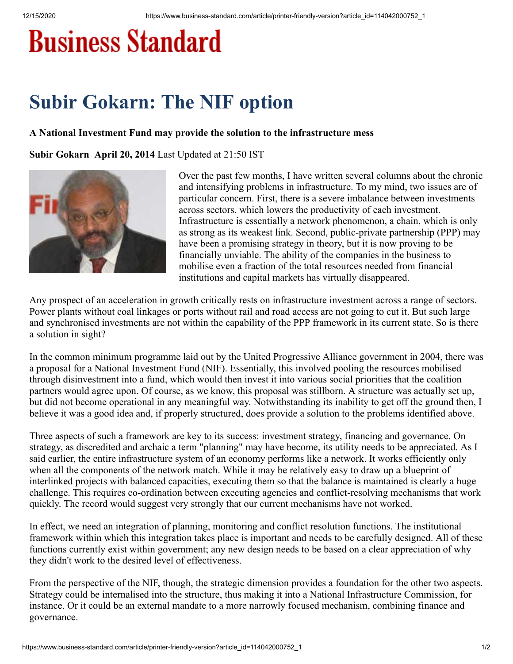## **Business Standard**

## **Subir Gokarn: The NIF option**

## **A National Investment Fund may provide the solution to the infrastructure mess**

**Subir Gokarn April 20, 2014** Last Updated at 21:50 IST



Over the past few months, I have written several columns about the chronic and intensifying problems in infrastructure. To my mind, two issues are of particular concern. First, there is a severe imbalance between investments across sectors, which lowers the productivity of each investment. Infrastructure is essentially a network phenomenon, a chain, which is only as strong as its weakest link. Second, public-private partnership (PPP) may have been a promising strategy in theory, but it is now proving to be financially unviable. The ability of the companies in the business to mobilise even a fraction of the total resources needed from financial institutions and capital markets has virtually disappeared.

Any prospect of an acceleration in growth critically rests on infrastructure investment across a range of sectors. Power plants without coal linkages or ports without rail and road access are not going to cut it. But such large and synchronised investments are not within the capability of the PPP framework in its current state. So is there a solution in sight?

In the common minimum programme laid out by the United Progressive Alliance government in 2004, there was a proposal for a National Investment Fund (NIF). Essentially, this involved pooling the resources mobilised through disinvestment into a fund, which would then invest it into various social priorities that the coalition partners would agree upon. Of course, as we know, this proposal was stillborn. A structure was actually set up, but did not become operational in any meaningful way. Notwithstanding its inability to get off the ground then, I believe it was a good idea and, if properly structured, does provide a solution to the problems identified above.

Three aspects of such a framework are key to its success: investment strategy, financing and governance. On strategy, as discredited and archaic a term "planning" may have become, its utility needs to be appreciated. As I said earlier, the entire infrastructure system of an economy performs like a network. It works efficiently only when all the components of the network match. While it may be relatively easy to draw up a blueprint of interlinked projects with balanced capacities, executing them so that the balance is maintained is clearly a huge challenge. This requires co-ordination between executing agencies and conflict-resolving mechanisms that work quickly. The record would suggest very strongly that our current mechanisms have not worked.

In effect, we need an integration of planning, monitoring and conflict resolution functions. The institutional framework within which this integration takes place is important and needs to be carefully designed. All of these functions currently exist within government; any new design needs to be based on a clear appreciation of why they didn't work to the desired level of effectiveness.

From the perspective of the NIF, though, the strategic dimension provides a foundation for the other two aspects. Strategy could be internalised into the structure, thus making it into a National Infrastructure Commission, for instance. Or it could be an external mandate to a more narrowly focused mechanism, combining finance and governance.